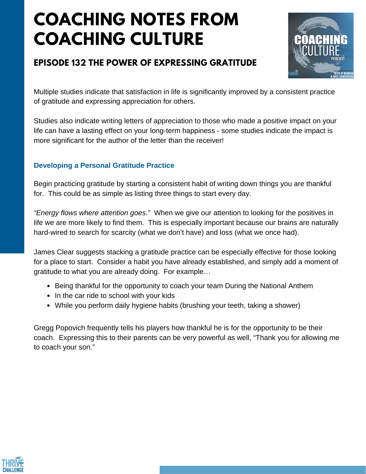# **COACHING NOTES FROM COACHING CULTURE**

### **EPISODE 132 THE POWER OF EXPRESSING GRATITUDE**



Multiple studies indicate that satisfaction in life is significantly improved by a consistent practice of gratitude and expressing appreciation for others.

Studies also indicate writing letters of appreciation to those who made a positive impact on your life can have a lasting effect on your long-term happiness - some studies indicate the impact is more significant for the author of the letter than the receiver!

#### **Developing a Personal Gratitude Practice**

Begin practicing gratitude by starting a consistent habit of writing down things you are thankful for. This could be as simple as listing three things to start every day.

*"Energy flows where attention goes."* When we give our attention to looking for the positives in life we are more likely to find them. This is especially important because our brains are naturally hard-wired to search for scarcity (what we don't have) and loss (what we once had).

James Clear suggests stacking a gratitude practice can be especially effective for those looking for a place to start. Consider a habit you have already established, and simply add a moment of gratitude to what you are already doing. For example…

- Being thankful for the opportunity to coach your team During the National Anthem
- In the car ride to school with your kids
- While you perform daily hygiene habits (brushing your teeth, taking a shower)

Gregg Popovich frequently tells his players how thankful he is for the opportunity to be their coach. Expressing this to their parents can be very powerful as well, "Thank you for allowing me to coach your son."

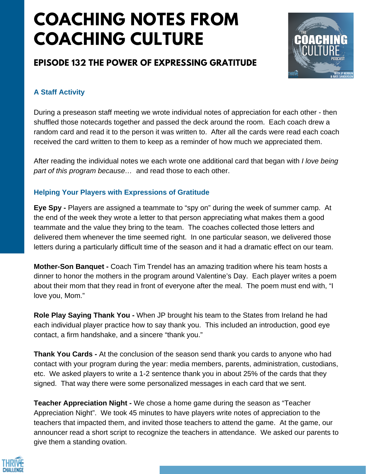## **COACHING NOTES FROM COACHING CULTURE**

### **EPISODE 132 THE POWER OF EXPRESSING GRATITUDE**



#### **A Staff Activity**

During a preseason staff meeting we wrote individual notes of appreciation for each other - then shuffled those notecards together and passed the deck around the room. Each coach drew a random card and read it to the person it was written to. After all the cards were read each coach received the card written to them to keep as a reminder of how much we appreciated them.

After reading the individual notes we each wrote one additional card that began with *I love being part of this program because…* and read those to each other.

#### **Helping Your Players with Expressions of Gratitude**

**Eye Spy -** Players are assigned a teammate to "spy on" during the week of summer camp. At the end of the week they wrote a letter to that person appreciating what makes them a good teammate and the value they bring to the team. The coaches collected those letters and delivered them whenever the time seemed right. In one particular season, we delivered those letters during a particularly difficult time of the season and it had a dramatic effect on our team.

**Mother-Son Banquet -** Coach Tim Trendel has an amazing tradition where his team hosts a dinner to honor the mothers in the program around Valentine's Day. Each player writes a poem about their mom that they read in front of everyone after the meal. The poem must end with, "I love you, Mom."

**Role Play Saying Thank You -** When JP brought his team to the States from Ireland he had each individual player practice how to say thank you. This included an introduction, good eye contact, a firm handshake, and a sincere "thank you."

**Thank You Cards -** At the conclusion of the season send thank you cards to anyone who had contact with your program during the year: media members, parents, administration, custodians, etc. We asked players to write a 1-2 sentence thank you in about 25% of the cards that they signed. That way there were some personalized messages in each card that we sent.

**Teacher Appreciation Night -** We chose a home game during the season as "Teacher Appreciation Night". We took 45 minutes to have players write notes of appreciation to the teachers that impacted them, and invited those teachers to attend the game. At the game, our announcer read a short script to recognize the teachers in attendance. We asked our parents to give them a standing ovation.